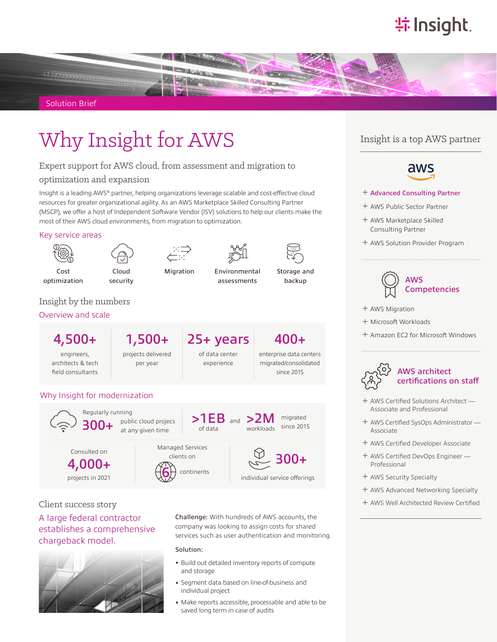# **特Insight**.



Solution Brief

# Why Insight for AWS Insight is a top AWS partner

#### Expert support for AWS cloud, from assessment and migration to

optimization and expansion

Insight is a leading AWS® partner, helping organizations leverage scalable and cost-effective cloud resources for greater organizational agility. As an AWS Marketplace Skilled Consulting Partner (MSCP), we offer a host of Independent Software Vendor (ISV) solutions to help our clients make the most of their AWS cloud environments, from migration to optimization.

#### Key service areas



Cost optimization



Cloud security

Migration Environmental assessments



Storage and backup

### Insight by the numbers

#### Overview and scale

engineers, architects & tech field consultants projects delivered per year

4,500+ 1,500+ 25+ years 400+ of data center

experience

enterprise data centers migrated/consolidated since 2015

### Why Insight for modernization



individual service offerings

Client success story A large federal contractor establishes a comprehensive chargeback model.

projects in 2021



Challenge: With hundreds of AWS accounts, the company was looking to assign costs for shared services such as user authentication and monitoring.

#### Solution:

continents

- Build out detailed inventory reports of compute and storage
- Segment data based on line-of-business and individual project
- Make reports accessible, processable and able to be saved long term in case of audits



- ͓ Advanced Consulting Partner
- ͓ AWS Public Sector Partner
- ͓ AWS Marketplace Skilled Consulting Partner
- ͓ AWS Solution Provider Program



- ͓ AWS Migration
- ͓ Microsoft Workloads
- ͓ Amazon EC2 for Microsoft Windows



- ͓ AWS Certified Solutions Architect Associate and Professional
- ͓ AWS Certified SysOps Administrator Associate
- ͓ AWS Certified Developer Associate
- ͓ AWS Certified DevOps Engineer Professional
- ͓ AWS Security Specialty
- ͓ AWS Advanced Networking Specialty
- ͓ AWS Well Architected Review Certified